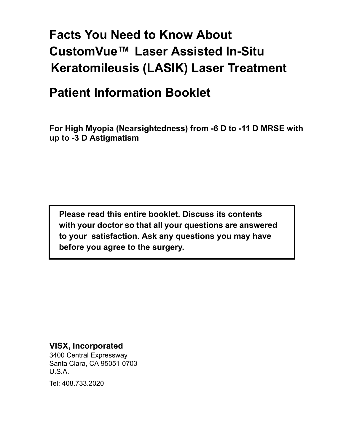# **Facts You Need to Know About CustomVue™ Laser Assisted In-Situ Keratomileusis (LASIK) Laser Treatment**

# **Patient Information Booklet**

**For High Myopia (Nearsightedness) from -6 D to -11 D MRSE with up to -3 D Astigmatism**

**Please read this entire booklet. Discuss its contents with your doctor so that all your questions are answered to your satisfaction. Ask any questions you may have before you agree to the surgery.**

#### **VISX, Incorporated**

3400 Central Expressway Santa Clara, CA 95051-0703 U.S.A.

Tel: 408.733.2020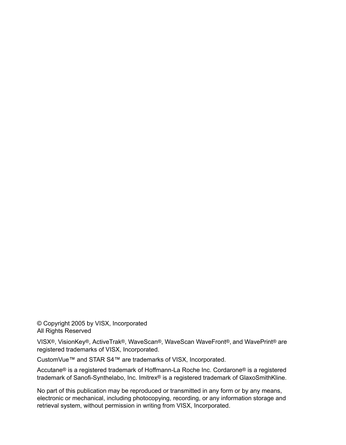© Copyright 2005 by VISX, Incorporated All Rights Reserved

VISX®, VisionKey®, ActiveTrak®, WaveScan®, WaveScan WaveFront®, and WavePrint® are registered trademarks of VISX, Incorporated.

CustomVue™ and STAR S4™ are trademarks of VISX, Incorporated.

Accutane® is a registered trademark of Hoffmann-La Roche Inc. Cordarone® is a registered trademark of Sanofi-Synthelabo, Inc. Imitrex® is a registered trademark of GlaxoSmithKline.

No part of this publication may be reproduced or transmitted in any form or by any means, electronic or mechanical, including photocopying, recording, or any information storage and retrieval system, without permission in writing from VISX, Incorporated.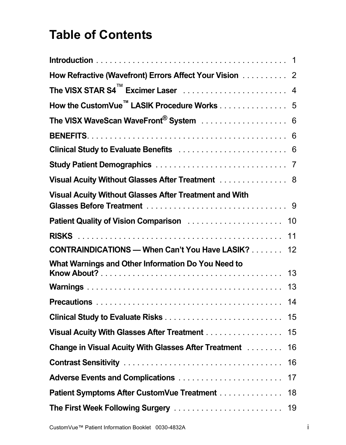# **Table of Contents**

| How Refractive (Wavefront) Errors Affect Your Vision 2        |    |
|---------------------------------------------------------------|----|
|                                                               |    |
| How the CustomVue <sup>™</sup> LASIK Procedure Works 5        |    |
| The VISX WaveScan WaveFront <sup>®</sup> System  6            |    |
|                                                               |    |
|                                                               |    |
|                                                               |    |
| Visual Acuity Without Glasses After Treatment 8               |    |
| <b>Visual Acuity Without Glasses After Treatment and With</b> |    |
| Patient Quality of Vision Comparison                          | 10 |
|                                                               | 11 |
| <b>CONTRAINDICATIONS - When Can't You Have LASIK?</b>         | 12 |
| What Warnings and Other Information Do You Need to            | 13 |
|                                                               | 13 |
|                                                               | 14 |
|                                                               | 15 |
| Visual Acuity With Glasses After Treatment                    | 15 |
| Change in Visual Acuity With Glasses After Treatment          | 16 |
|                                                               | 16 |
| Adverse Events and Complications                              | 17 |
| Patient Symptoms After CustomVue Treatment                    | 18 |
| The First Week Following Surgery                              | 19 |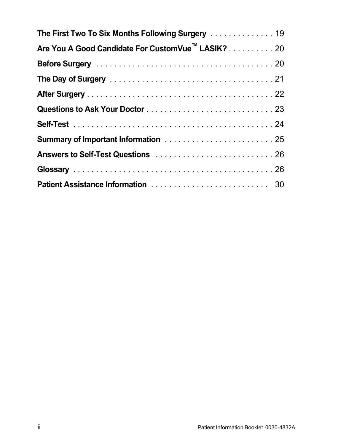| The First Two To Six Months Following Surgery 19              |
|---------------------------------------------------------------|
| Are You A Good Candidate For CustomVue <sup>™</sup> LASIK? 20 |
|                                                               |
|                                                               |
|                                                               |
|                                                               |
|                                                               |
|                                                               |
|                                                               |
|                                                               |
|                                                               |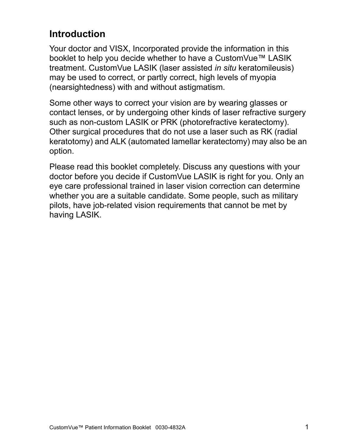### <span id="page-6-0"></span>**Introduction**

Your doctor and VISX, Incorporated provide the information in this booklet to help you decide whether to have a CustomVue™ LASIK treatment. CustomVue LASIK (laser assisted *in situ* keratomileusis) may be used to correct, or partly correct, high levels of myopia (nearsightedness) with and without astigmatism.

Some other ways to correct your vision are by wearing glasses or contact lenses, or by undergoing other kinds of laser refractive surgery such as non-custom LASIK or PRK (photorefractive keratectomy). Other surgical procedures that do not use a laser such as RK (radial keratotomy) and ALK (automated lamellar keratectomy) may also be an option.

Please read this booklet completely. Discuss any questions with your doctor before you decide if CustomVue LASIK is right for you. Only an eye care professional trained in laser vision correction can determine whether you are a suitable candidate. Some people, such as military pilots, have job-related vision requirements that cannot be met by having LASIK.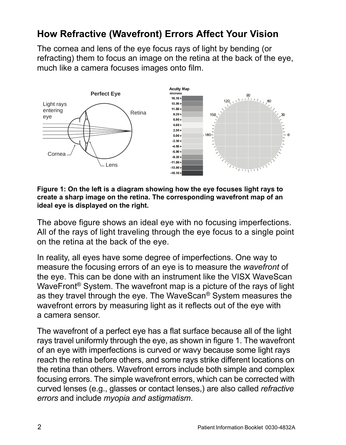## <span id="page-7-0"></span>**How Refractive (Wavefront) Errors Affect Your Vision**

The cornea and lens of the eye focus rays of light by bending (or refracting) them to focus an image on the retina at the back of the eye, much like a camera focuses images onto film.



**Figure 1: On the left is a diagram showing how the eye focuses light rays to create a sharp image on the retina. The corresponding wavefront map of an ideal eye is displayed on the right.**

The above figure shows an ideal eye with no focusing imperfections. All of the rays of light traveling through the eye focus to a single point on the retina at the back of the eye.

In reality, all eyes have some degree of imperfections. One way to measure the focusing errors of an eye is to measure the *wavefront* of the eye. This can be done with an instrument like the VISX WaveScan WaveFront® System. The wavefront map is a picture of the rays of light as they travel through the eye. The WaveScan® System measures the wavefront errors by measuring light as it reflects out of the eye with a camera sensor.

The wavefront of a perfect eye has a flat surface because all of the light rays travel uniformly through the eye, as shown in figure 1. The wavefront of an eye with imperfections is curved or wavy because some light rays reach the retina before others, and some rays strike different locations on the retina than others. Wavefront errors include both simple and complex focusing errors. The simple wavefront errors, which can be corrected with curved lenses (e.g., glasses or contact lenses,) are also called *refractive errors* and include *myopia and astigmatism*.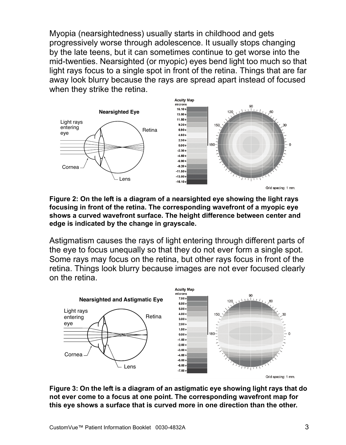Myopia (nearsightedness) usually starts in childhood and gets progressively worse through adolescence. It usually stops changing by the late teens, but it can sometimes continue to get worse into the mid-twenties. Nearsighted (or myopic) eyes bend light too much so that light rays focus to a single spot in front of the retina. Things that are far away look blurry because the rays are spread apart instead of focused when they strike the retina.



**Figure 2: On the left is a diagram of a nearsighted eye showing the light rays focusing in front of the retina. The corresponding wavefront of a myopic eye shows a curved wavefront surface. The height difference between center and edge is indicated by the change in grayscale.**

Astigmatism causes the rays of light entering through different parts of the eye to focus unequally so that they do not ever form a single spot. Some rays may focus on the retina, but other rays focus in front of the retina. Things look blurry because images are not ever focused clearly on the retina.



Grid spacing: 1 mm.

**Figure 3: On the left is a diagram of an astigmatic eye showing light rays that do not ever come to a focus at one point. The corresponding wavefront map for this eye shows a surface that is curved more in one direction than the other.**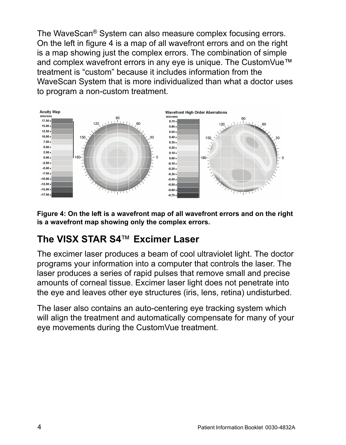The WaveScan® System can also measure complex focusing errors. On the left in figure 4 is a map of all wavefront errors and on the right is a map showing just the complex errors. The combination of simple and complex wavefront errors in any eye is unique. The CustomVue™ treatment is "custom" because it includes information from the WaveScan System that is more individualized than what a doctor uses to program a non-custom treatment.



**Figure 4: On the left is a wavefront map of all wavefront errors and on the right is a wavefront map showing only the complex errors.**

## <span id="page-9-0"></span>**The VISX STAR S4**™ **Excimer Laser**

The excimer laser produces a beam of cool ultraviolet light. The doctor programs your information into a computer that controls the laser. The laser produces a series of rapid pulses that remove small and precise amounts of corneal tissue. Excimer laser light does not penetrate into the eye and leaves other eye structures (iris, lens, retina) undisturbed.

The laser also contains an auto-centering eye tracking system which will align the treatment and automatically compensate for many of your eye movements during the CustomVue treatment.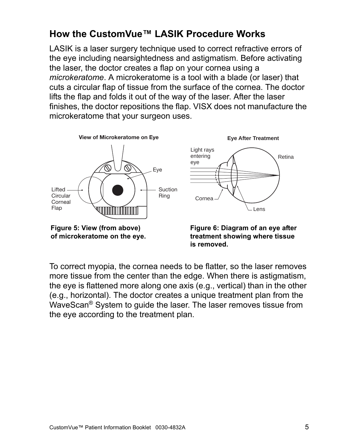## <span id="page-10-0"></span>**How the CustomVue™ LASIK Procedure Works**

LASIK is a laser surgery technique used to correct refractive errors of the eye including nearsightedness and astigmatism. Before activating the laser, the doctor creates a flap on your cornea using a *microkeratome*. A microkeratome is a tool with a blade (or laser) that cuts a circular flap of tissue from the surface of the cornea. The doctor lifts the flap and folds it out of the way of the laser. After the laser finishes, the doctor repositions the flap. VISX does not manufacture the microkeratome that your surgeon uses.



To correct myopia, the cornea needs to be flatter, so the laser removes more tissue from the center than the edge. When there is astigmatism, the eye is flattened more along one axis (e.g., vertical) than in the other **is removed.**

(e.g., horizontal). The doctor creates a unique treatment plan from the WaveScan® System to guide the laser. The laser removes tissue from the eye according to the treatment plan.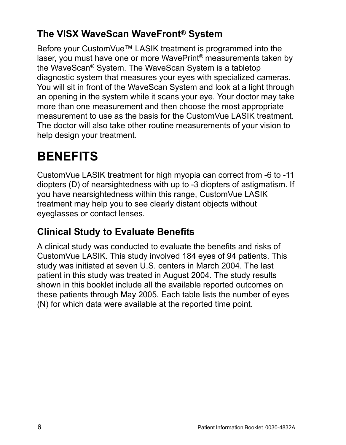# <span id="page-11-0"></span>**The VISX WaveScan WaveFront**® **System**

Before your CustomVue™ LASIK treatment is programmed into the laser, you must have one or more WavePrint® measurements taken by the WaveScan® System. The WaveScan System is a tabletop diagnostic system that measures your eyes with specialized cameras. You will sit in front of the WaveScan System and look at a light through an opening in the system while it scans your eye. Your doctor may take more than one measurement and then choose the most appropriate measurement to use as the basis for the CustomVue LASIK treatment. The doctor will also take other routine measurements of your vision to help design your treatment.

# <span id="page-11-1"></span>**BENEFITS**

CustomVue LASIK treatment for high myopia can correct from -6 to -11 diopters (D) of nearsightedness with up to -3 diopters of astigmatism. If you have nearsightedness within this range, CustomVue LASIK treatment may help you to see clearly distant objects without eyeglasses or contact lenses.

# <span id="page-11-2"></span>**Clinical Study to Evaluate Benefits**

A clinical study was conducted to evaluate the benefits and risks of CustomVue LASIK. This study involved 184 eyes of 94 patients. This study was initiated at seven U.S. centers in March 2004. The last patient in this study was treated in August 2004. The study results shown in this booklet include all the available reported outcomes on these patients through May 2005. Each table lists the number of eyes (N) for which data were available at the reported time point.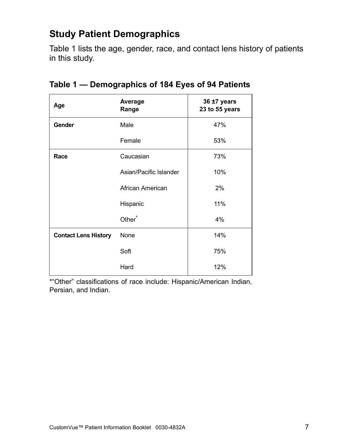## <span id="page-12-0"></span>**Study Patient Demographics**

Table [1](#page-12-1) lists the age, gender, race, and contact lens history of patients in this study.

| Age                         | Average<br>Range       | 36 ±7 years<br>23 to 55 years |
|-----------------------------|------------------------|-------------------------------|
| Gender                      | Male                   | 47%                           |
|                             | Female                 | 53%                           |
| Race                        | Caucasian              | 73%                           |
|                             | Asian/Pacific Islander | 10%                           |
|                             | African American       | 2%                            |
|                             | Hispanic               | 11%                           |
|                             | Other <sup>*</sup>     | 4%                            |
| <b>Contact Lens History</b> | None                   | 14%                           |
|                             | Soft                   | 75%                           |
|                             | Hard                   | 12%                           |

<span id="page-12-1"></span>

\*"Other" classifications of race include: Hispanic/American Indian, Persian, and Indian.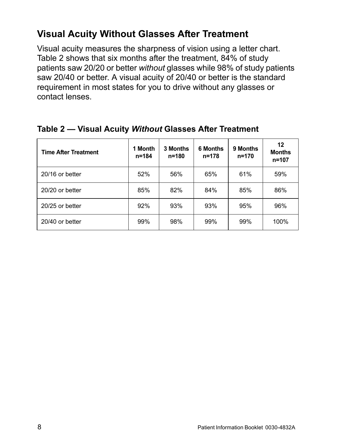## <span id="page-13-0"></span>**Visual Acuity Without Glasses After Treatment**

Visual acuity measures the sharpness of vision using a letter chart. Table [2](#page-13-1) shows that six months after the treatment, 84% of study patients saw 20/20 or better *without* glasses while 98% of study patients saw 20/40 or better. A visual acuity of 20/40 or better is the standard requirement in most states for you to drive without any glasses or contact lenses.

| <b>Time After Treatment</b> | 1 Month<br>n=184 | 3 Months<br>$n = 180$ | <b>6 Months</b><br>$n = 178$ | 9 Months<br>$n = 170$ | 12<br><b>Months</b><br>$n = 107$ |
|-----------------------------|------------------|-----------------------|------------------------------|-----------------------|----------------------------------|
| 20/16 or better             | 52%              | 56%                   | 65%                          | 61%                   | 59%                              |
| 20/20 or better             | 85%              | 82%                   | 84%                          | 85%                   | 86%                              |
| 20/25 or better             | 92%              | 93%                   | 93%                          | 95%                   | 96%                              |
| 20/40 or better             | 99%              | 98%                   | 99%                          | 99%                   | 100%                             |

#### <span id="page-13-1"></span>**Table 2 — Visual Acuity** *Without* **Glasses After Treatment**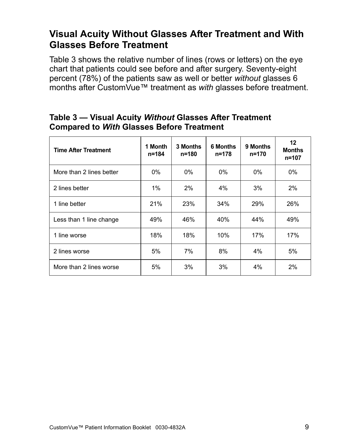### <span id="page-14-0"></span>**Visual Acuity Without Glasses After Treatment and With Glasses Before Treatment**

Table [3](#page-14-1) shows the relative number of lines (rows or letters) on the eye chart that patients could see before and after surgery. Seventy-eight percent (78%) of the patients saw as well or better *without* glasses 6 months after CustomVue™ treatment as *with* glasses before treatment.

| <b>Time After Treatment</b> | 1 Month<br>n=184 | 3 Months<br>$n = 180$ | <b>6 Months</b><br>n=178 | 9 Months<br>n=170 | 12<br><b>Months</b><br>$n = 107$ |
|-----------------------------|------------------|-----------------------|--------------------------|-------------------|----------------------------------|
| More than 2 lines better    | $0\%$            | $0\%$                 | $0\%$                    | $0\%$             | $0\%$                            |
| 2 lines better              | $1\%$            | $2\%$                 | 4%                       | 3%                | 2%                               |
| 1 line better               | 21%              | 23%                   | 34%                      | 29%               | 26%                              |
| Less than 1 line change     | 49%              | 46%                   | 40%                      | 44%               | 49%                              |
| 1 line worse                | 18%              | 18%                   | 10%                      | 17%               | 17%                              |
| 2 lines worse               | 5%               | 7%                    | 8%                       | 4%                | 5%                               |
| More than 2 lines worse     | 5%               | 3%                    | 3%                       | 4%                | 2%                               |

#### <span id="page-14-1"></span>**Table 3 — Visual Acuity** *Without* **Glasses After Treatment Compared to** *With* **Glasses Before Treatment**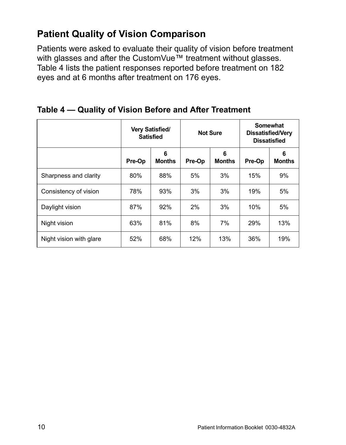### <span id="page-15-0"></span>**Patient Quality of Vision Comparison**

Patients were asked to evaluate their quality of vision before treatment with glasses and after the CustomVue™ treatment without glasses. Table [4](#page-15-1) lists the patient responses reported before treatment on 182 eyes and at 6 months after treatment on 176 eyes.

|                         | <b>Very Satisfied/</b><br><b>Satisfied</b> |                    | <b>Not Sure</b> |                    | <b>Somewhat</b><br><b>Dissatisfied/Very</b><br><b>Dissatisfied</b> |                    |
|-------------------------|--------------------------------------------|--------------------|-----------------|--------------------|--------------------------------------------------------------------|--------------------|
|                         | Pre-Op                                     | 6<br><b>Months</b> | Pre-Op          | 6<br><b>Months</b> | Pre-Op                                                             | 6<br><b>Months</b> |
| Sharpness and clarity   | 80%                                        | 88%                | 5%              | 3%                 | 15%                                                                | 9%                 |
| Consistency of vision   | 78%                                        | 93%                | 3%              | 3%                 | 19%                                                                | 5%                 |
| Daylight vision         | 87%                                        | 92%                | 2%              | 3%                 | 10%                                                                | 5%                 |
| Night vision            | 63%                                        | 81%                | 8%              | 7%                 | 29%                                                                | 13%                |
| Night vision with glare | 52%                                        | 68%                | 12%             | 13%                | 36%                                                                | 19%                |

<span id="page-15-1"></span>**Table 4 — Quality of Vision Before and After Treatment**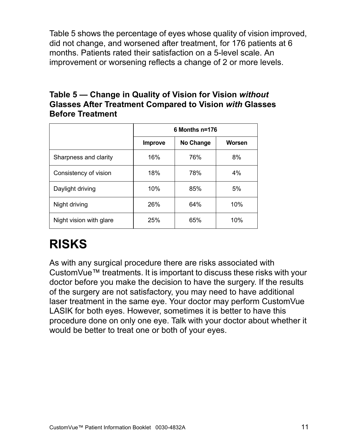Table 5 shows the percentage of eyes whose quality of vision improved, did not change, and worsened after treatment, for 176 patients at 6 months. Patients rated their satisfaction on a 5-level scale. An improvement or worsening reflects a change of 2 or more levels.

#### **Table 5 — Change in Quality of Vision for Vision** *without* **Glasses After Treatment Compared to Vision** *with* **Glasses Before Treatment**

|                         | 6 Months n=176 |           |        |  |  |
|-------------------------|----------------|-----------|--------|--|--|
|                         | <b>Improve</b> | No Change | Worsen |  |  |
| Sharpness and clarity   | 16%            | 76%       | 8%     |  |  |
| Consistency of vision   | 18%            | 78%       | 4%     |  |  |
| Daylight driving        | 10%            | 85%       | 5%     |  |  |
| Night driving           | 26%            | 64%       | 10%    |  |  |
| Night vision with glare | 25%            | 65%       | 10%    |  |  |

# <span id="page-16-0"></span>**RISKS**

As with any surgical procedure there are risks associated with CustomVue™ treatments. It is important to discuss these risks with your doctor before you make the decision to have the surgery. If the results of the surgery are not satisfactory, you may need to have additional laser treatment in the same eye. Your doctor may perform CustomVue LASIK for both eyes. However, sometimes it is better to have this procedure done on only one eye. Talk with your doctor about whether it would be better to treat one or both of your eyes.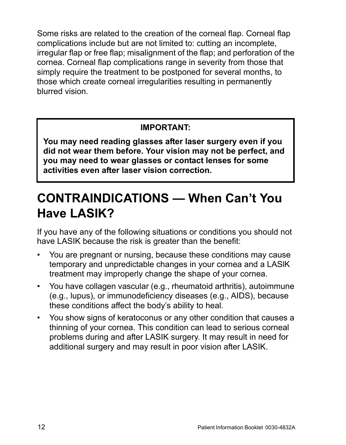Some risks are related to the creation of the corneal flap. Corneal flap complications include but are not limited to: cutting an incomplete, irregular flap or free flap; misalignment of the flap; and perforation of the cornea. Corneal flap complications range in severity from those that simply require the treatment to be postponed for several months, to those which create corneal irregularities resulting in permanently blurred vision.

#### **IMPORTANT:**

**You may need reading glasses after laser surgery even if you did not wear them before. Your vision may not be perfect, and you may need to wear glasses or contact lenses for some activities even after laser vision correction.**

# <span id="page-17-0"></span>**CONTRAINDICATIONS — When Can't You Have LASIK?**

If you have any of the following situations or conditions you should not have LASIK because the risk is greater than the benefit:

- You are pregnant or nursing, because these conditions may cause temporary and unpredictable changes in your cornea and a LASlK treatment may improperly change the shape of your cornea.
- You have collagen vascular (e.g., rheumatoid arthritis), autoimmune (e.g., lupus), or immunodeficiency diseases (e.g., AIDS), because these conditions affect the body's ability to heal.
- You show signs of keratoconus or any other condition that causes a thinning of your cornea. This condition can lead to serious corneal problems during and after LASIK surgery. It may result in need for additional surgery and may result in poor vision after LASIK.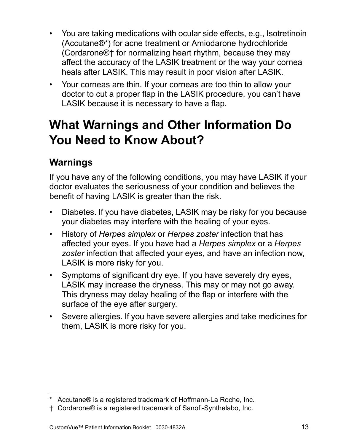- You are taking medications with ocular side effects, e.g., Isotretinoin (Accutane®\*) for acne treatment or Amiodarone hydrochloride (Cordarone®† for normalizing heart rhythm, because they may affect the accuracy of the LASIK treatment or the way your cornea heals after LASIK. This may result in poor vision after LASIK.
- Your corneas are thin. If your corneas are too thin to allow your doctor to cut a proper flap in the LASIK procedure, you can't have LASIK because it is necessary to have a flap.

# <span id="page-18-0"></span>**What Warnings and Other Information Do You Need to Know About?**

# <span id="page-18-1"></span>**Warnings**

If you have any of the following conditions, you may have LASIK if your doctor evaluates the seriousness of your condition and believes the benefit of having LASIK is greater than the risk.

- Diabetes. If you have diabetes, LASIK may be risky for you because your diabetes may interfere with the healing of your eyes.
- History of *Herpes simplex* or *Herpes zoster* infection that has affected your eyes. If you have had a *Herpes simplex* or a *Herpes zoster* infection that affected your eyes, and have an infection now, LASIK is more risky for you.
- Symptoms of significant dry eye. If you have severely dry eyes, LASIK may increase the dryness. This may or may not go away. This dryness may delay healing of the flap or interfere with the surface of the eye after surgery.
- Severe allergies. If you have severe allergies and take medicines for them, LASIK is more risky for you.

<sup>\*</sup> Accutane® is a registered trademark of Hoffmann-La Roche, Inc.

<sup>†</sup> Cordarone® is a registered trademark of Sanofi-Synthelabo, Inc.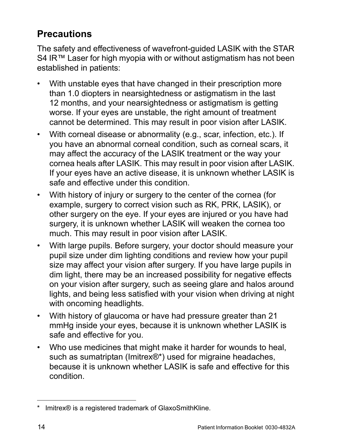## <span id="page-19-0"></span>**Precautions**

The safety and effectiveness of wavefront-guided LASIK with the STAR S4 IR™ Laser for high myopia with or without astigmatism has not been established in patients:

- With unstable eyes that have changed in their prescription more than 1.0 diopters in nearsightedness or astigmatism in the last 12 months, and your nearsightedness or astigmatism is getting worse. If your eyes are unstable, the right amount of treatment cannot be determined. This may result in poor vision after LASIK.
- With corneal disease or abnormality (e.g., scar, infection, etc.). If you have an abnormal corneal condition, such as corneal scars, it may affect the accuracy of the LASIK treatment or the way your cornea heals after LASIK. This may result in poor vision after LASIK. If your eyes have an active disease, it is unknown whether LASIK is safe and effective under this condition.
- With history of injury or surgery to the center of the cornea (for example, surgery to correct vision such as RK, PRK, LASIK), or other surgery on the eye. If your eyes are injured or you have had surgery, it is unknown whether LASIK will weaken the cornea too much. This may result in poor vision after LASIK.
- With large pupils. Before surgery, your doctor should measure your pupil size under dim lighting conditions and review how your pupil size may affect your vision after surgery. If you have large pupils in dim light, there may be an increased possibility for negative effects on your vision after surgery, such as seeing glare and halos around lights, and being less satisfied with your vision when driving at night with oncoming headlights.
- With history of glaucoma or have had pressure greater than 21 mmHg inside your eyes, because it is unknown whether LASIK is safe and effective for you.
- Who use medicines that might make it harder for wounds to heal, such as sumatriptan (Imitrex®\*) used for migraine headaches, because it is unknown whether LASIK is safe and effective for this condition.

<sup>\*</sup> Imitrex® is a registered trademark of GlaxoSmithKline.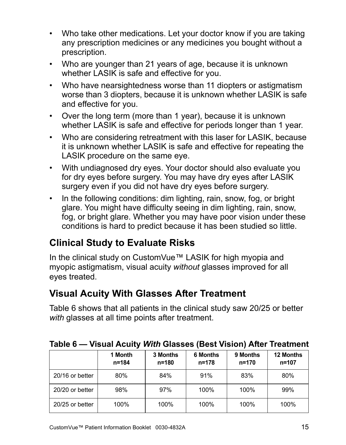- Who take other medications. Let your doctor know if you are taking any prescription medicines or any medicines you bought without a prescription.
- Who are younger than 21 years of age, because it is unknown whether LASIK is safe and effective for you.
- Who have nearsightedness worse than 11 diopters or astigmatism worse than 3 diopters, because it is unknown whether LASIK is safe and effective for you.
- Over the long term (more than 1 year), because it is unknown whether LASIK is safe and effective for periods longer than 1 year.
- Who are considering retreatment with this laser for LASIK, because it is unknown whether LASIK is safe and effective for repeating the LASIK procedure on the same eye.
- With undiagnosed dry eyes. Your doctor should also evaluate you for dry eyes before surgery. You may have dry eyes after LASIK surgery even if you did not have dry eyes before surgery.
- In the following conditions: dim lighting, rain, snow, fog, or bright glare. You might have difficulty seeing in dim lighting, rain, snow, fog, or bright glare. Whether you may have poor vision under these conditions is hard to predict because it has been studied so little.

# <span id="page-20-0"></span>**Clinical Study to Evaluate Risks**

In the clinical study on CustomVue™ LASIK for high myopia and myopic astigmatism, visual acuity *without* glasses improved for all eyes treated.

# <span id="page-20-1"></span>**Visual Acuity With Glasses After Treatment**

Table [6](#page-20-2) shows that all patients in the clinical study saw 20/25 or better *with* glasses at all time points after treatment.

|                 | 1 Month<br>$n = 184$ | 3 Months<br>$n = 180$ | <b>6 Months</b><br>n=178 | 9 Months<br>$n = 170$ | 12 Months<br>$n = 107$ |
|-----------------|----------------------|-----------------------|--------------------------|-----------------------|------------------------|
| 20/16 or better | 80%                  | 84%                   | 91%                      | 83%                   | 80%                    |
| 20/20 or better | 98%                  | 97%                   | 100%                     | 100%                  | 99%                    |
| 20/25 or better | 100%                 | 100%                  | 100%                     | 100%                  | 100%                   |

<span id="page-20-2"></span>**Table 6 — Visual Acuity** *With* **Glasses (Best Vision) After Treatment**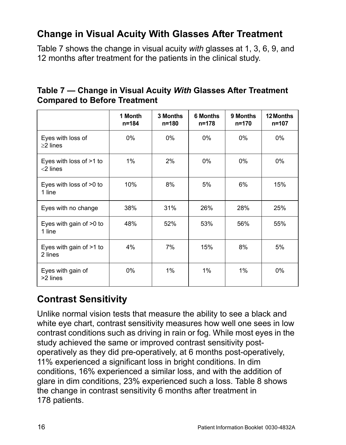# <span id="page-21-0"></span>**Change in Visual Acuity With Glasses After Treatment**

Table [7](#page-21-2) shows the change in visual acuity *with* glasses at 1, 3, 6, 9, and 12 months after treatment for the patients in the clinical study.

<span id="page-21-2"></span>

| Table 7 – Change in Visual Acuity With Glasses After Treatment |  |
|----------------------------------------------------------------|--|
| <b>Compared to Before Treatment</b>                            |  |

|                                        | 1 Month<br>n=184 | 3 Months<br>n=180 | <b>6 Months</b><br>n=178 | 9 Months<br>n=170 | 12 Months<br>$n = 107$ |
|----------------------------------------|------------------|-------------------|--------------------------|-------------------|------------------------|
| Eyes with loss of<br>$\geq$ 2 lines    | $0\%$            | $0\%$             | $0\%$                    | $0\%$             | $0\%$                  |
| Eyes with loss of >1 to<br>$<$ 2 lines | 1%               | 2%                | 0%                       | $0\%$             | $0\%$                  |
| Eyes with loss of >0 to<br>1 line      | 10%              | 8%                | 5%                       | 6%                | 15%                    |
| Eyes with no change                    | 38%              | 31%               | 26%                      | 28%               | 25%                    |
| Eyes with gain of >0 to<br>1 line      | 48%              | 52%               | 53%                      | 56%               | 55%                    |
| Eyes with gain of >1 to<br>2 lines     | 4%               | 7%                | 15%                      | 8%                | 5%                     |
| Eyes with gain of<br>>2 lines          | $0\%$            | 1%                | 1%                       | $1\%$             | $0\%$                  |

# <span id="page-21-1"></span>**Contrast Sensitivity**

Unlike normal vision tests that measure the ability to see a black and white eye chart, contrast sensitivity measures how well one sees in low contrast conditions such as driving in rain or fog. While most eyes in the study achieved the same or improved contrast sensitivity postoperatively as they did pre-operatively, at 6 months post-operatively, 11% experienced a significant loss in bright conditions. In dim conditions, 16% experienced a similar loss, and with the addition of glare in dim conditions, 23% experienced such a loss. Table 8 shows the change in contrast sensitivity 6 months after treatment in 178 patients.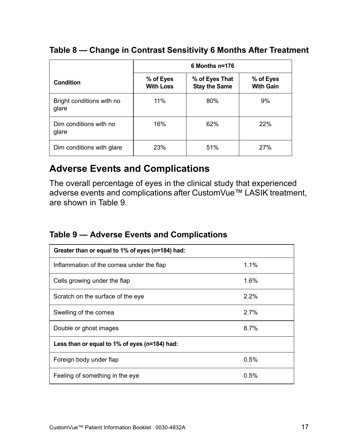#### **Table 8 — Change in Contrast Sensitivity 6 Months After Treatment**

|                                    | 6 Months n=176                |                                        |                               |  |  |
|------------------------------------|-------------------------------|----------------------------------------|-------------------------------|--|--|
| Condition                          | % of Eyes<br><b>With Loss</b> | % of Eyes That<br><b>Stay the Same</b> | % of Eyes<br><b>With Gain</b> |  |  |
| Bright conditions with no<br>glare | 11%                           | 80%                                    | 9%                            |  |  |
| Dim conditions with no<br>glare    | 16%                           | 62%                                    | 22%                           |  |  |
| Dim conditions with glare          | 23%                           | 51%                                    | 27%                           |  |  |

### <span id="page-22-0"></span>**Adverse Events and Complications**

The overall percentage of eyes in the clinical study that experienced adverse events and complications after CustomVue™ LASIK treatment, are shown in Table [9.](#page-22-1)

#### <span id="page-22-1"></span>**Table 9 — Adverse Events and Complications**

| Greater than or equal to 1% of eyes (n=184) had: |         |  |  |  |
|--------------------------------------------------|---------|--|--|--|
| Inflammation of the cornea under the flap        | 1.1%    |  |  |  |
| Cells growing under the flap                     | $1.6\%$ |  |  |  |
| Scratch on the surface of the eye                | $2.2\%$ |  |  |  |
| Swelling of the cornea                           | $2.7\%$ |  |  |  |
| Double or ghost images                           | 8.7%    |  |  |  |
| Less than or equal to 1% of eyes (n=184) had:    |         |  |  |  |
| Foreign body under flap                          | 0.5%    |  |  |  |
| Feeling of something in the eye                  | 0.5%    |  |  |  |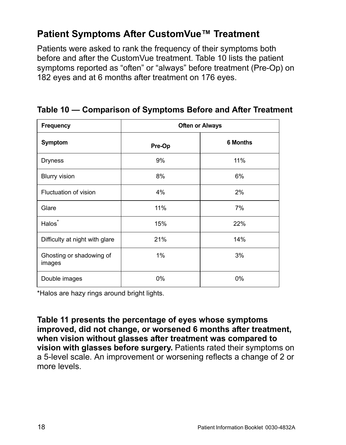### <span id="page-23-0"></span>**Patient Symptoms After CustomVue™ Treatment**

Patients were asked to rank the frequency of their symptoms both before and after the CustomVue treatment. Table [10](#page-23-1) lists the patient symptoms reported as "often" or "always" before treatment (Pre-Op) on 182 eyes and at 6 months after treatment on 176 eyes.

| <b>Frequency</b>                   | <b>Often or Always</b> |                 |  |
|------------------------------------|------------------------|-----------------|--|
| Symptom                            | Pre-Op                 | <b>6 Months</b> |  |
| <b>Dryness</b>                     | 9%                     | 11%             |  |
| <b>Blurry vision</b>               | 8%                     | 6%              |  |
| Fluctuation of vision              | 4%                     | 2%              |  |
| Glare                              | 11%                    | 7%              |  |
| Halos <sup>*</sup>                 | 15%                    | 22%             |  |
| Difficulty at night with glare     | 21%                    | 14%             |  |
| Ghosting or shadowing of<br>images | $1\%$                  | 3%              |  |
| Double images                      | 0%                     | 0%              |  |

<span id="page-23-1"></span>**Table 10 — Comparison of Symptoms Before and After Treatment**

\*Halos are hazy rings around bright lights.

**Table 11 presents the percentage of eyes whose symptoms improved, did not change, or worsened 6 months after treatment, when vision without glasses after treatment was compared to vision with glasses before surgery.** Patients rated their symptoms on a 5-level scale. An improvement or worsening reflects a change of 2 or more levels.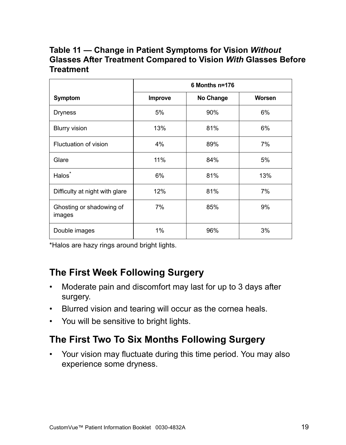#### **Table 11 — Change in Patient Symptoms for Vision** *Without* **Glasses After Treatment Compared to Vision** *With* **Glasses Before Treatment**

|                                    | 6 Months n=176 |           |        |  |
|------------------------------------|----------------|-----------|--------|--|
| Symptom                            | <b>Improve</b> | No Change | Worsen |  |
| <b>Dryness</b>                     | 5%             | 90%       | 6%     |  |
| <b>Blurry vision</b>               | 13%            | 81%       | 6%     |  |
| Fluctuation of vision              | 4%             | 89%       | 7%     |  |
| Glare                              | 11%            | 84%       | 5%     |  |
| Halos <sup>*</sup>                 | 6%             | 81%       | 13%    |  |
| Difficulty at night with glare     | 12%            | 81%       | 7%     |  |
| Ghosting or shadowing of<br>images | 7%             | 85%       | 9%     |  |
| Double images                      | 1%             | 96%       | 3%     |  |

\*Halos are hazy rings around bright lights.

## <span id="page-24-0"></span>**The First Week Following Surgery**

- Moderate pain and discomfort may last for up to 3 days after surgery.
- Blurred vision and tearing will occur as the cornea heals.
- You will be sensitive to bright lights.

## <span id="page-24-1"></span>**The First Two To Six Months Following Surgery**

• Your vision may fluctuate during this time period. You may also experience some dryness.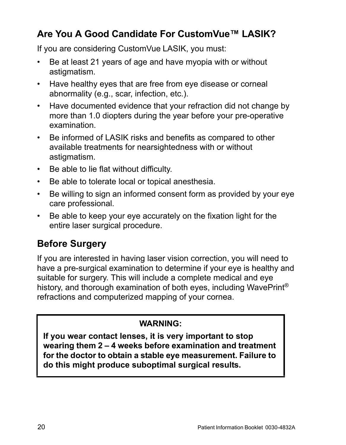## <span id="page-25-0"></span>**Are You A Good Candidate For CustomVue™ LASIK?**

If you are considering CustomVue LASIK, you must:

- Be at least 21 years of age and have myopia with or without astigmatism.
- Have healthy eyes that are free from eye disease or corneal abnormality (e.g., scar, infection, etc.).
- Have documented evidence that your refraction did not change by more than 1.0 diopters during the year before your pre-operative examination.
- Be informed of LASIK risks and benefits as compared to other available treatments for nearsightedness with or without astigmatism.
- Be able to lie flat without difficulty.
- Be able to tolerate local or topical anesthesia.
- Be willing to sign an informed consent form as provided by your eye care professional.
- Be able to keep your eye accurately on the fixation light for the entire laser surgical procedure.

# <span id="page-25-1"></span>**Before Surgery**

If you are interested in having laser vision correction, you will need to have a pre-surgical examination to determine if your eye is healthy and suitable for surgery. This will include a complete medical and eye history, and thorough examination of both eyes, including WavePrint<sup>®</sup> refractions and computerized mapping of your cornea.

#### **WARNING:**

**If you wear contact lenses, it is very important to stop wearing them 2 – 4 weeks before examination and treatment for the doctor to obtain a stable eye measurement. Failure to do this might produce suboptimal surgical results.**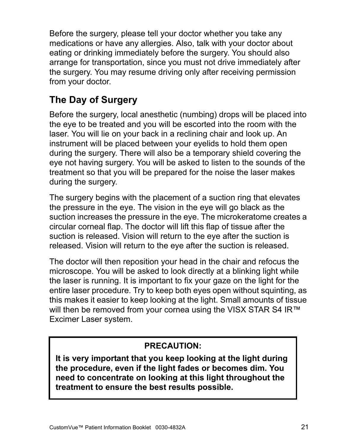Before the surgery, please tell your doctor whether you take any medications or have any allergies. Also, talk with your doctor about eating or drinking immediately before the surgery. You should also arrange for transportation, since you must not drive immediately after the surgery. You may resume driving only after receiving permission from your doctor.

# <span id="page-26-0"></span>**The Day of Surgery**

Before the surgery, local anesthetic (numbing) drops will be placed into the eye to be treated and you will be escorted into the room with the laser. You will lie on your back in a reclining chair and look up. An instrument will be placed between your eyelids to hold them open during the surgery. There will also be a temporary shield covering the eye not having surgery. You will be asked to listen to the sounds of the treatment so that you will be prepared for the noise the laser makes during the surgery.

The surgery begins with the placement of a suction ring that elevates the pressure in the eye. The vision in the eye will go black as the suction increases the pressure in the eye. The microkeratome creates a circular corneal flap. The doctor will lift this flap of tissue after the suction is released. Vision will return to the eye after the suction is released. Vision will return to the eye after the suction is released.

The doctor will then reposition your head in the chair and refocus the microscope. You will be asked to look directly at a blinking light while the laser is running. It is important to fix your gaze on the light for the entire laser procedure. Try to keep both eyes open without squinting, as this makes it easier to keep looking at the light. Small amounts of tissue will then be removed from your cornea using the VISX STAR S4 IR™ Excimer Laser system.

#### **PRECAUTION:**

**It is very important that you keep looking at the light during the procedure, even if the light fades or becomes dim. You need to concentrate on looking at this light throughout the treatment to ensure the best results possible.**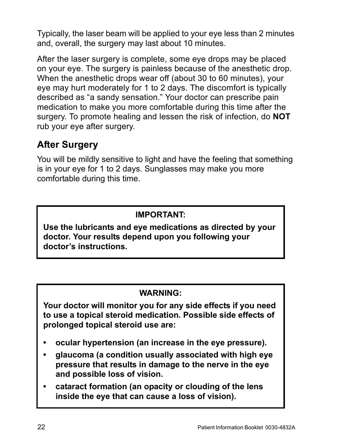Typically, the laser beam will be applied to your eye less than 2 minutes and, overall, the surgery may last about 10 minutes.

After the laser surgery is complete, some eye drops may be placed on your eye. The surgery is painless because of the anesthetic drop. When the anesthetic drops wear off (about 30 to 60 minutes), your eye may hurt moderately for 1 to 2 days. The discomfort is typically described as "a sandy sensation." Your doctor can prescribe pain medication to make you more comfortable during this time after the surgery. To promote healing and lessen the risk of infection, do **NOT** rub your eye after surgery.

### <span id="page-27-0"></span>**After Surgery**

You will be mildly sensitive to light and have the feeling that something is in your eye for 1 to 2 days. Sunglasses may make you more comfortable during this time.

#### **IMPORTANT:**

**Use the lubricants and eye medications as directed by your doctor. Your results depend upon you following your doctor's instructions.**

#### **WARNING:**

**Your doctor will monitor you for any side effects if you need to use a topical steroid medication. Possible side effects of prolonged topical steroid use are:**

- **ocular hypertension (an increase in the eye pressure).**
- **glaucoma (a condition usually associated with high eye pressure that results in damage to the nerve in the eye and possible loss of vision.**
- **cataract formation (an opacity or clouding of the lens inside the eye that can cause a loss of vision).**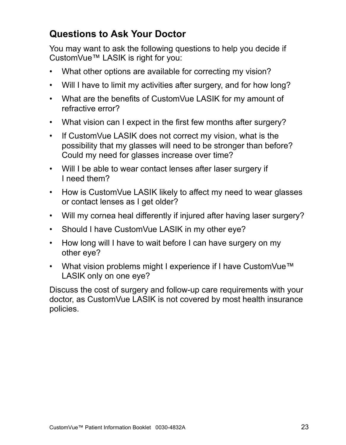## <span id="page-28-0"></span>**Questions to Ask Your Doctor**

You may want to ask the following questions to help you decide if CustomVue™ LASIK is right for you:

- What other options are available for correcting my vision?
- Will I have to limit my activities after surgery, and for how long?
- What are the benefits of CustomVue LASIK for my amount of refractive error?
- What vision can I expect in the first few months after surgery?
- If CustomVue LASIK does not correct my vision, what is the possibility that my glasses will need to be stronger than before? Could my need for glasses increase over time?
- Will I be able to wear contact lenses after laser surgery if I need them?
- How is CustomVue LASIK likely to affect my need to wear glasses or contact lenses as I get older?
- Will my cornea heal differently if injured after having laser surgery?
- Should I have CustomVue LASIK in my other eye?
- How long will I have to wait before I can have surgery on my other eye?
- What vision problems might I experience if I have CustomVue™ LASIK only on one eye?

Discuss the cost of surgery and follow-up care requirements with your doctor, as CustomVue LASIK is not covered by most health insurance policies.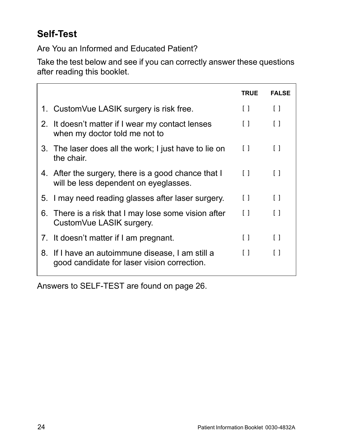# <span id="page-29-0"></span>**Self-Test**

Are You an Informed and Educated Patient?

Take the test below and see if you can correctly answer these questions after reading this booklet.

|                                                                                                 | <b>TRUE</b> | FAI SF     |
|-------------------------------------------------------------------------------------------------|-------------|------------|
| 1. CustomVue LASIK surgery is risk free.                                                        | $\Box$      | $\Box$     |
| 2. It doesn't matter if I wear my contact lenses<br>when my doctor told me not to               | $\Box$      | $\Box$     |
| 3. The laser does all the work; I just have to lie on<br>the chair.                             | $\Box$      | $\Box$     |
| 4. After the surgery, there is a good chance that I<br>will be less dependent on eyeglasses.    | $\Box$      | $\Box$     |
| 5. I may need reading glasses after laser surgery.                                              | $\Box$      | $\Box$     |
| 6. There is a risk that I may lose some vision after<br>CustomVue LASIK surgery.                | $\Box$      | $\lceil$ 1 |
| 7. It doesn't matter if I am pregnant.                                                          | $\Box$      | $\Box$     |
| 8. If I have an autoimmune disease, I am still a<br>good candidate for laser vision correction. | $\Box$      | Γl         |

Answers to SELF-TEST are found on [page 26](#page-31-0).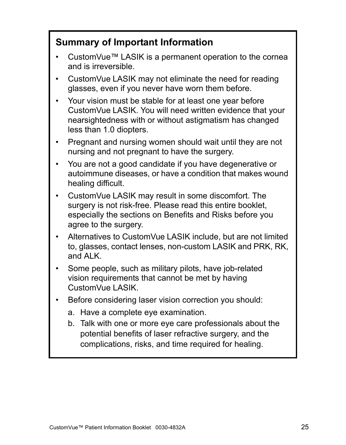## <span id="page-30-0"></span>**Summary of Important Information**

- CustomVue™ LASIK is a permanent operation to the cornea and is irreversible.
- CustomVue LASIK may not eliminate the need for reading glasses, even if you never have worn them before.
- Your vision must be stable for at least one year before CustomVue LASIK. You will need written evidence that your nearsightedness with or without astigmatism has changed less than 1.0 diopters.
- Pregnant and nursing women should wait until they are not nursing and not pregnant to have the surgery.
- You are not a good candidate if you have degenerative or autoimmune diseases, or have a condition that makes wound healing difficult.
- CustomVue LASIK may result in some discomfort. The surgery is not risk-free. Please read this entire booklet, especially the sections on Benefits and Risks before you agree to the surgery.
- Alternatives to CustomVue LASIK include, but are not limited to, glasses, contact lenses, non-custom LASIK and PRK, RK, and ALK.
- Some people, such as military pilots, have job-related vision requirements that cannot be met by having CustomVue LASIK.
- Before considering laser vision correction you should:
	- a. Have a complete eye examination.
	- b. Talk with one or more eye care professionals about the potential benefits of laser refractive surgery, and the complications, risks, and time required for healing.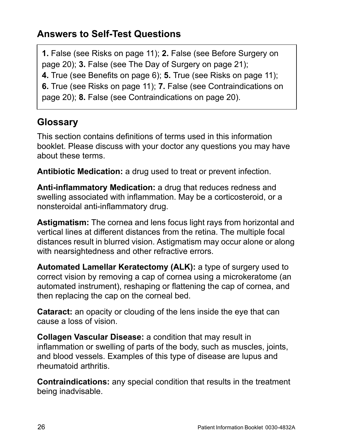## <span id="page-31-0"></span>**Answers to Self-Test Questions**

**1.** False (see Risks on [page 11](#page-16-0)); **2.** False (see Before Surgery on [page 20](#page-25-1)); **3.** False (see The Day of Surgery on [page 21\)](#page-26-0); **4.** True (see Benefits on [page 6](#page-11-1)); **5.** True (see Risks on [page 11\)](#page-16-0); **6.** True (see Risks on [page 11](#page-16-0)); **7.** False (see Contraindications on [page 20](#page-25-0)); **8.** False (see Contraindications on [page 20](#page-25-0)).

<span id="page-31-1"></span>**Glossary**

This section contains definitions of terms used in this information booklet. Please discuss with your doctor any questions you may have about these terms.

**Antibiotic Medication:** a drug used to treat or prevent infection.

**Anti-inflammatory Medication:** a drug that reduces redness and swelling associated with inflammation. May be a corticosteroid, or a nonsteroidal anti-inflammatory drug.

**Astigmatism:** The cornea and lens focus light rays from horizontal and vertical lines at different distances from the retina. The multiple focal distances result in blurred vision. Astigmatism may occur alone or along with nearsightedness and other refractive errors.

**Automated Lamellar Keratectomy (ALK):** a type of surgery used to correct vision by removing a cap of cornea using a microkeratome (an automated instrument), reshaping or flattening the cap of cornea, and then replacing the cap on the corneal bed.

**Cataract:** an opacity or clouding of the lens inside the eye that can cause a loss of vision.

**Collagen Vascular Disease:** a condition that may result in inflammation or swelling of parts of the body, such as muscles, joints, and blood vessels. Examples of this type of disease are lupus and rheumatoid arthritis.

**Contraindications:** any special condition that results in the treatment being inadvisable.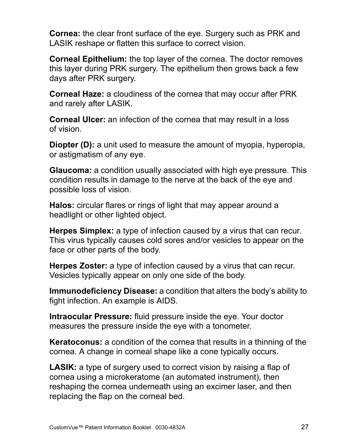**Cornea:** the clear front surface of the eye. Surgery such as PRK and LASIK reshape or flatten this surface to correct vision.

**Corneal Epithelium:** the top layer of the cornea. The doctor removes this layer during PRK surgery. The epithelium then grows back a few days after PRK surgery.

**Corneal Haze:** a cloudiness of the cornea that may occur after PRK and rarely after LASIK.

**Corneal Ulcer:** an infection of the cornea that may result in a loss of vision.

**Diopter (D):** a unit used to measure the amount of myopia, hyperopia, or astigmatism of any eye.

**Glaucoma:** a condition usually associated with high eye pressure. This condition results in damage to the nerve at the back of the eye and possible loss of vision.

**Halos:** circular flares or rings of light that may appear around a headlight or other lighted object.

**Herpes Simplex:** a type of infection caused by a virus that can recur. This virus typically causes cold sores and/or vesicles to appear on the face or other parts of the body.

**Herpes Zoster:** a type of infection caused by a virus that can recur. Vesicles typically appear on only one side of the body.

**Immunodeficiency Disease:** a condition that alters the body's ability to fight infection. An example is AIDS.

**Intraocular Pressure:** fluid pressure inside the eye. Your doctor measures the pressure inside the eye with a tonometer.

**Keratoconus:** a condition of the cornea that results in a thinning of the cornea. A change in corneal shape like a cone typically occurs.

**LASIK:** a type of surgery used to correct vision by raising a flap of cornea using a microkeratome (an automated instrument), then reshaping the cornea underneath using an excimer laser, and then replacing the flap on the corneal bed.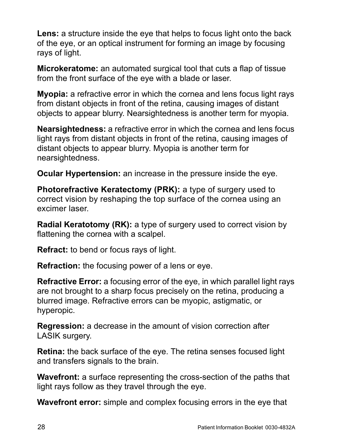**Lens:** a structure inside the eye that helps to focus light onto the back of the eye, or an optical instrument for forming an image by focusing rays of light.

**Microkeratome:** an automated surgical tool that cuts a flap of tissue from the front surface of the eye with a blade or laser.

**Myopia:** a refractive error in which the cornea and lens focus light rays from distant objects in front of the retina, causing images of distant objects to appear blurry. Nearsightedness is another term for myopia.

**Nearsightedness:** a refractive error in which the cornea and lens focus light rays from distant objects in front of the retina, causing images of distant objects to appear blurry. Myopia is another term for nearsightedness.

**Ocular Hypertension:** an increase in the pressure inside the eye.

**Photorefractive Keratectomy (PRK):** a type of surgery used to correct vision by reshaping the top surface of the cornea using an excimer laser.

**Radial Keratotomy (RK):** a type of surgery used to correct vision by flattening the cornea with a scalpel.

**Refract:** to bend or focus rays of light.

**Refraction:** the focusing power of a lens or eye.

**Refractive Error:** a focusing error of the eye, in which parallel light rays are not brought to a sharp focus precisely on the retina, producing a blurred image. Refractive errors can be myopic, astigmatic, or hyperopic.

**Regression:** a decrease in the amount of vision correction after LASIK surgery.

**Retina:** the back surface of the eye. The retina senses focused light and transfers signals to the brain.

**Wavefront:** a surface representing the cross-section of the paths that light rays follow as they travel through the eye.

**Wavefront error:** simple and complex focusing errors in the eye that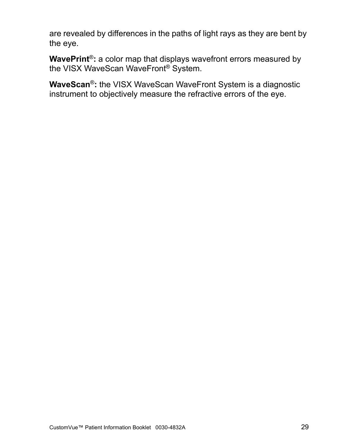are revealed by differences in the paths of light rays as they are bent by the eye.

**WavePrint**®**:** a color map that displays wavefront errors measured by the VISX WaveScan WaveFront® System.

**WaveScan**®**:** the VISX WaveScan WaveFront System is a diagnostic instrument to objectively measure the refractive errors of the eye.